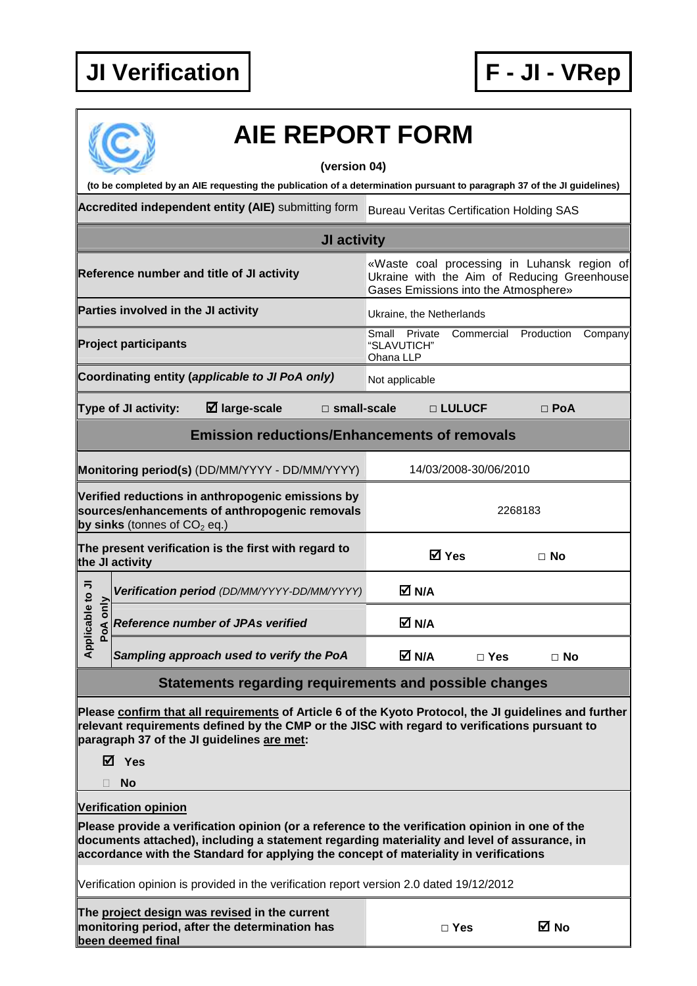

## **AIE REPORT FORM**

**(version 04)** 

**(to be completed by an AIE requesting the publication of a determination pursuant to paragraph 37 of the JI guidelines)** 

Accredited independent entity (AIE) submitting form Bureau Veritas Certification Holding SAS

|                              |                                     |                                                                                                     | JI activity           |                                           |                                                                                                                                    |            |         |
|------------------------------|-------------------------------------|-----------------------------------------------------------------------------------------------------|-----------------------|-------------------------------------------|------------------------------------------------------------------------------------------------------------------------------------|------------|---------|
|                              |                                     | Reference number and title of JI activity                                                           |                       |                                           | «Waste coal processing in Luhansk region of<br>Ukraine with the Aim of Reducing Greenhouse<br>Gases Emissions into the Atmosphere» |            |         |
|                              | Parties involved in the JI activity |                                                                                                     |                       | Ukraine, the Netherlands                  |                                                                                                                                    |            |         |
|                              | <b>Project participants</b>         |                                                                                                     |                       | Small Private<br>"SLAVUTICH"<br>Ohana LLP | Commercial                                                                                                                         | Production | Company |
|                              |                                     | Coordinating entity (applicable to JI PoA only)                                                     |                       | Not applicable                            |                                                                                                                                    |            |         |
|                              | Type of JI activity:                | $\boxtimes$ large-scale                                                                             | $\square$ small-scale |                                           | □ LULUCF                                                                                                                           | $\Box$ PoA |         |
|                              |                                     | <b>Emission reductions/Enhancements of removals</b>                                                 |                       |                                           |                                                                                                                                    |            |         |
|                              |                                     | Monitoring period(s) (DD/MM/YYYY - DD/MM/YYYY)                                                      |                       |                                           | 14/03/2008-30/06/2010                                                                                                              |            |         |
|                              | by sinks (tonnes of $CO2$ eq.)      | Verified reductions in anthropogenic emissions by<br>sources/enhancements of anthropogenic removals |                       |                                           |                                                                                                                                    | 2268183    |         |
|                              | the JI activity                     | The present verification is the first with regard to                                                |                       |                                           | ⊠ Yes                                                                                                                              | $\Box$ No  |         |
|                              |                                     | Verification period (DD/MM/YYYY-DD/MM/YYYY)                                                         |                       | M N/A                                     |                                                                                                                                    |            |         |
| Applicable to JI<br>PoA only |                                     | <b>Reference number of JPAs verified</b>                                                            |                       | M N/A                                     |                                                                                                                                    |            |         |
|                              |                                     | Sampling approach used to verify the PoA                                                            |                       | M N/A                                     | $\Box$ Yes                                                                                                                         | $\Box$ No  |         |

## **Statements regarding requirements and possible changes**

**Please confirm that all requirements of Article 6 of the Kyoto Protocol, the JI guidelines and further relevant requirements defined by the CMP or the JISC with regard to verifications pursuant to paragraph 37 of the JI guidelines are met:** 

**Yes** 

**No** 

**Verification opinion** 

**Please provide a verification opinion (or a reference to the verification opinion in one of the documents attached), including a statement regarding materiality and level of assurance, in accordance with the Standard for applying the concept of materiality in verifications** 

Verification opinion is provided in the verification report version 2.0 dated 19/12/2012

**The project design was revised in the current monitoring period, after the determination has been deemed final** 

| M.<br>٧<br>٧ |
|--------------|
|--------------|